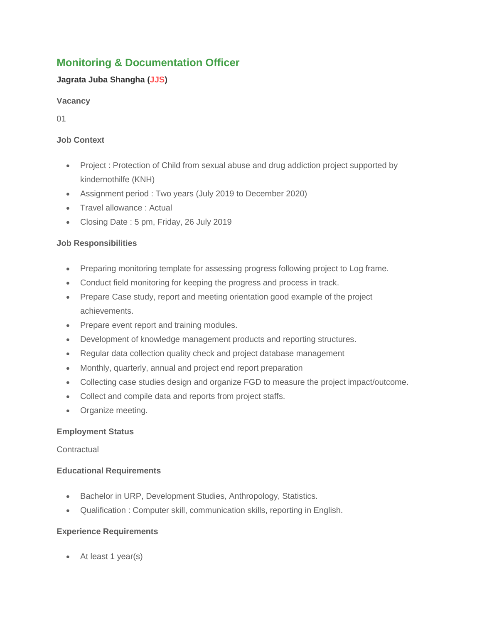# **Monitoring & Documentation Officer**

# **Jagrata Juba Shangha (JJS)**

## **Vacancy**

01

# **Job Context**

- Project : Protection of Child from sexual abuse and drug addiction project supported by kindernothilfe (KNH)
- Assignment period : Two years (July 2019 to December 2020)
- Travel allowance : Actual
- Closing Date: 5 pm, Friday, 26 July 2019

# **Job Responsibilities**

- Preparing monitoring template for assessing progress following project to Log frame.
- Conduct field monitoring for keeping the progress and process in track.
- Prepare Case study, report and meeting orientation good example of the project achievements.
- Prepare event report and training modules.
- Development of knowledge management products and reporting structures.
- Regular data collection quality check and project database management
- Monthly, quarterly, annual and project end report preparation
- Collecting case studies design and organize FGD to measure the project impact/outcome.
- Collect and compile data and reports from project staffs.
- Organize meeting.

## **Employment Status**

## **Contractual**

## **Educational Requirements**

- Bachelor in URP, Development Studies, Anthropology, Statistics.
- Qualification : Computer skill, communication skills, reporting in English.

# **Experience Requirements**

At least 1 year(s)